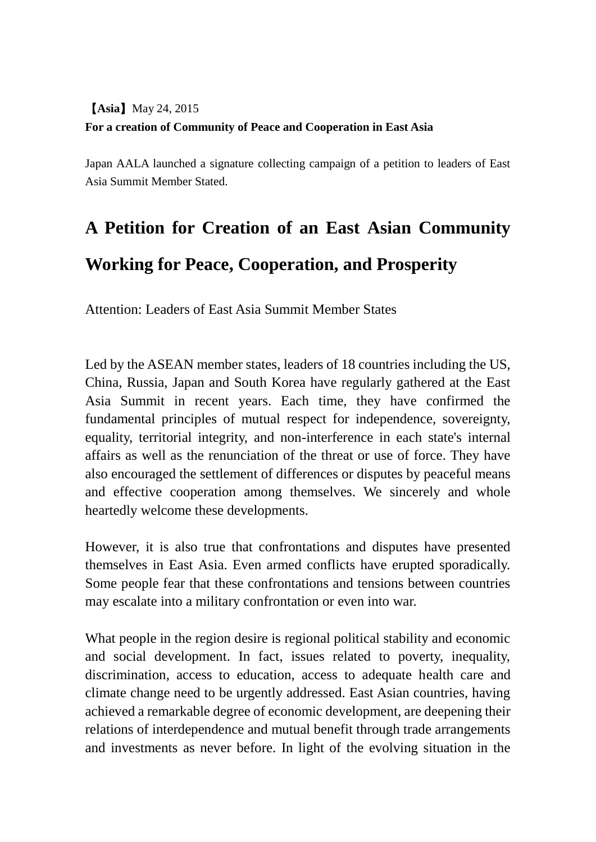## 【**Asia**】May 24, 2015 **For a creation of Community of Peace and Cooperation in East Asia**

Japan AALA launched a signature collecting campaign of a petition to leaders of East Asia Summit Member Stated.

## **A Petition for Creation of an East Asian Community Working for Peace, Cooperation, and Prosperity**

Attention: Leaders of East Asia Summit Member States

Led by the ASEAN member states, leaders of 18 countries including the US, China, Russia, Japan and South Korea have regularly gathered at the East Asia Summit in recent years. Each time, they have confirmed the fundamental principles of mutual respect for independence, sovereignty, equality, territorial integrity, and non-interference in each state's internal affairs as well as the renunciation of the threat or use of force. They have also encouraged the settlement of differences or disputes by peaceful means and effective cooperation among themselves. We sincerely and whole heartedly welcome these developments.

However, it is also true that confrontations and disputes have presented themselves in East Asia. Even armed conflicts have erupted sporadically. Some people fear that these confrontations and tensions between countries may escalate into a military confrontation or even into war.

What people in the region desire is regional political stability and economic and social development. In fact, issues related to poverty, inequality, discrimination, access to education, access to adequate health care and climate change need to be urgently addressed. East Asian countries, having achieved a remarkable degree of economic development, are deepening their relations of interdependence and mutual benefit through trade arrangements and investments as never before. In light of the evolving situation in the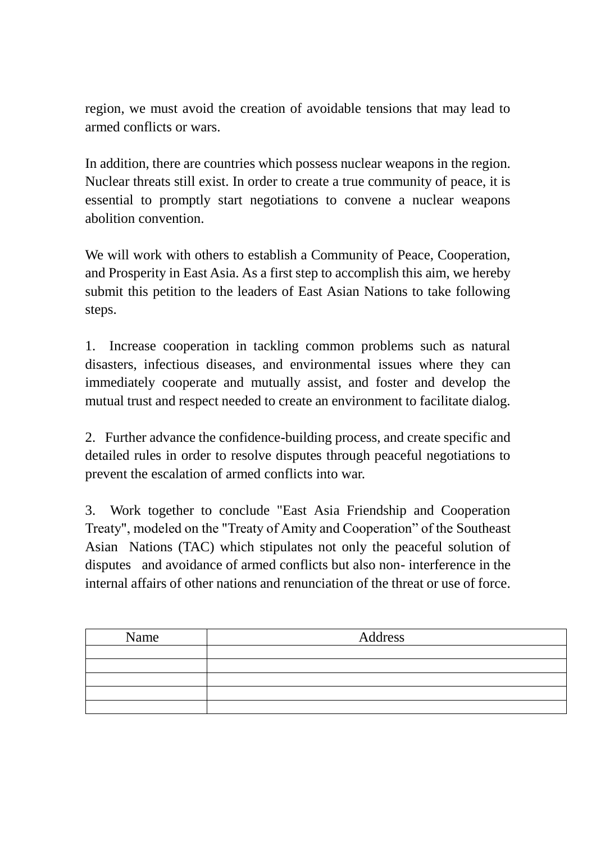region, we must avoid the creation of avoidable tensions that may lead to armed conflicts or wars.

In addition, there are countries which possess nuclear weapons in the region. Nuclear threats still exist. In order to create a true community of peace, it is essential to promptly start negotiations to convene a nuclear weapons abolition convention.

We will work with others to establish a Community of Peace, Cooperation, and Prosperity in East Asia. As a first step to accomplish this aim, we hereby submit this petition to the leaders of East Asian Nations to take following steps.

1. Increase cooperation in tackling common problems such as natural disasters, infectious diseases, and environmental issues where they can immediately cooperate and mutually assist, and foster and develop the mutual trust and respect needed to create an environment to facilitate dialog.

2. Further advance the confidence-building process, and create specific and detailed rules in order to resolve disputes through peaceful negotiations to prevent the escalation of armed conflicts into war.

3. Work together to conclude "East Asia Friendship and Cooperation Treaty", modeled on the "Treaty of Amity and Cooperation" of the Southeast Asian Nations (TAC) which stipulates not only the peaceful solution of disputes and avoidance of armed conflicts but also non- interference in the internal affairs of other nations and renunciation of the threat or use of force.

| Name | Address |
|------|---------|
|      |         |
|      |         |
|      |         |
|      |         |
|      |         |